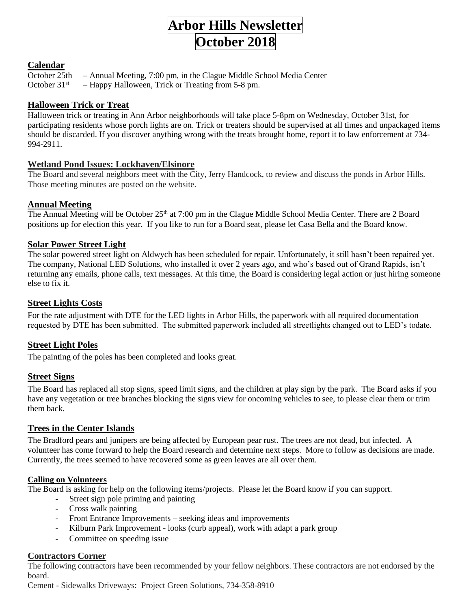# **Arbor Hills Newsletter October 2018**

## **Calendar**

October 25th – Annual Meeting, 7:00 pm, in the Clague Middle School Media Center

October  $31^{st}$  – Happy Halloween, Trick or Treating from 5-8 pm.

# **Halloween Trick or Treat**

Halloween trick or treating in Ann Arbor neighborhoods will take place 5-8pm on Wednesday, October 31st, for participating residents whose porch lights are on. Trick or treaters should be supervised at all times and unpackaged items should be discarded. If you discover anything wrong with the treats brought home, report it to law enforcement at 734- 994-2911.

# **Wetland Pond Issues: Lockhaven/Elsinore**

The Board and several neighbors meet with the City, Jerry Handcock, to review and discuss the ponds in Arbor Hills. Those meeting minutes are posted on the website.

# **Annual Meeting**

The Annual Meeting will be October 25<sup>th</sup> at 7:00 pm in the Clague Middle School Media Center. There are 2 Board positions up for election this year. If you like to run for a Board seat, please let Casa Bella and the Board know.

# **Solar Power Street Light**

The solar powered street light on Aldwych has been scheduled for repair. Unfortunately, it still hasn't been repaired yet. The company, National LED Solutions, who installed it over 2 years ago, and who's based out of Grand Rapids, isn't returning any emails, phone calls, text messages. At this time, the Board is considering legal action or just hiring someone else to fix it.

## **Street Lights Costs**

For the rate adjustment with DTE for the LED lights in Arbor Hills, the paperwork with all required documentation requested by DTE has been submitted. The submitted paperwork included all streetlights changed out to LED's todate.

# **Street Light Poles**

The painting of the poles has been completed and looks great.

### **Street Signs**

The Board has replaced all stop signs, speed limit signs, and the children at play sign by the park. The Board asks if you have any vegetation or tree branches blocking the signs view for oncoming vehicles to see, to please clear them or trim them back.

### **Trees in the Center Islands**

The Bradford pears and junipers are being affected by European pear rust. The trees are not dead, but infected. A volunteer has come forward to help the Board research and determine next steps. More to follow as decisions are made. Currently, the trees seemed to have recovered some as green leaves are all over them.

### **Calling on Volunteers**

The Board is asking for help on the following items/projects. Please let the Board know if you can support.

- Street sign pole priming and painting
- Cross walk painting
- Front Entrance Improvements seeking ideas and improvements
- Kilburn Park Improvement looks (curb appeal), work with adapt a park group
- Committee on speeding issue

#### **Contractors Corner**

The following contractors have been recommended by your fellow neighbors. These contractors are not endorsed by the board.

Cement - Sidewalks Driveways: Project Green Solutions, 734-358-8910